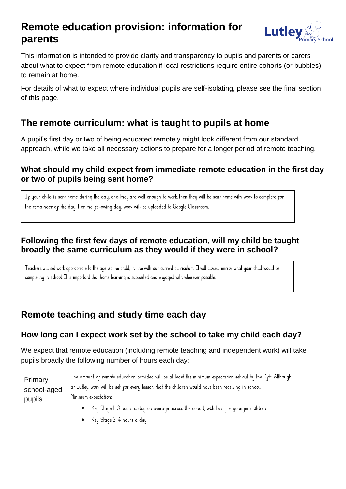# **Remote education provision: information for parents**



This information is intended to provide clarity and transparency to pupils and parents or carers about what to expect from remote education if local restrictions require entire cohorts (or bubbles) to remain at home.

For details of what to expect where individual pupils are self-isolating, please see the final section of this page.

## **The remote curriculum: what is taught to pupils at home**

A pupil's first day or two of being educated remotely might look different from our standard approach, while we take all necessary actions to prepare for a longer period of remote teaching.

## **What should my child expect from immediate remote education in the first day or two of pupils being sent home?**

If your child is sent home during the day, and they are well enough to work, then they will be sent home with work to complete for the remainder of the day. For the following day, work will be uploaded to Google Classroom.

## **Following the first few days of remote education, will my child be taught broadly the same curriculum as they would if they were in school?**

Teachers will set work appropriate to the age of the child, in line with our current curriculum. It will closely mirror what your child would be completing in school. It is important that home learning is supported and engaged with wherever possible.

# **Remote teaching and study time each day**

## **How long can I expect work set by the school to take my child each day?**

We expect that remote education (including remote teaching and independent work) will take pupils broadly the following number of hours each day:

| Primary     | The amount of remote education provided will be at least the minimum expectation set out by the D <sub>F</sub> E. Although, |
|-------------|-----------------------------------------------------------------------------------------------------------------------------|
| school-aged | at Lutley, work will be set for every lesson that the children would have been receiving in school.                         |
| pupils      | Minimum expectation:                                                                                                        |
|             | • Key Stage 1: 3 hours a day on average across the cohort, with less for younger children<br>• Key Stage 2: 4 hours a day   |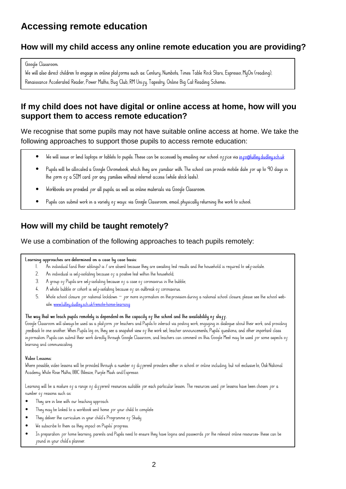# **Accessing remote education**

## **How will my child access any online remote education you are providing?**

#### Google Classroom.

We will also direct children to enqaqe in online plat rorms such as: Century, Numbots, Times Table Rock Stars, Espresso, MyOn (readinq), Renaissance Accelerated Reader, Power Maths, Buq Club, RM Unify, Tapestry, Online Biq Cat Reading Scheme.

## **If my child does not have digital or online access at home, how will you support them to access remote education?**

We recognise that some pupils may not have suitable online access at home. We take the following approaches to support those pupils to access remote education:

- $\bullet$ We will issue or lend laptops or tablets to pupils. These can be accessed by emailing our school office via info@luttley.dudley.sch.uk
- $\bullet$ Pupils will be allocated a Google Chromebook, which they are ramiliar with. The school can provide mobile date ror up to 90 days in the form of a SIM card for any families without internet access (while stock lasts).
- $\bullet$ Workbooks are provided for all pupils, as well as online materials via Google Classroom.
- $\bullet$ Pupils can submit work in a variety of ways: via Google Classroom, email, physically returning the work to school.

## **How will my child be taught remotely?**

### We use a combination of the following approaches to teach pupils remotely:

#### Learning approaches are delermined on a case by case basis:

- .<br>An individual (and lheir siblings) is / are absent because lhey are awaiting lest resulls and lhe household is required to self-isolate.  $\mathbf{I}$
- $2<sup>1</sup>$ An individual is sel p-isolating because of a positive test within the household;
- $3.$ A group of Pupils are self-isolating because of a case of coronavirus in the bubble;
- A whole bubble or cohort is self-isolating because of an outbreak of coronavirus.  $\frac{1}{2}$
- $5<sup>1</sup>$ Whole school closure for national lockdown - for more information on the provision during a national school closure, please see the school website. www.lutleu.dudleu.sch.uk/remote-home-learning

#### The way that we leach pupils remotely is dependent on the capacity of the school and the availability of staff.

Google Classroom will always be used as a platform for teachers and Pupils to interact via posting work, engaging in dialoque about their work, and providing reedback to one another. When Pupils log on, they see a snapshot view or the work set, teacher announcements, Pupils' questions, and other important class in rormation. Pupils can submit their work directly through Google Classroom, and teachers can comment on this. Google Meet may be used for some aspects of learning and communicaling.

#### Video Lessons:

Where possible, video lessons will be provided through a number of different providers either in school or online including, but not exclusive to, Oak National Academy, While Rose Malhs, BBC Bilesize, Purple Mash and Espresso

Learning will be a mixture of a range of different resources suitable for each particular lesson. The resources used for lessons have been chosen for a number of reasons such as:

- $\bullet$ They are in line with our teaching approach
- They may be linked to a workbook sent home for your child to complete  $\bullet$
- They deliver the curriculum in your child's Programme of Study  $\bullet$
- $\bullet$ We subscribe to them as they impact on Pupils' progress.
- In preparation for home learning, parents and Pupils need to ensure they have logins and passwords for the relevant online resources- these can be  $\bullet$ found in your child's planner.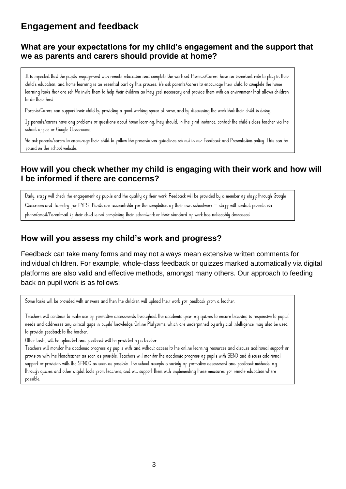# **Engagement and feedback**

### **What are your expectations for my child's engagement and the support that we as parents and carers should provide at home?**

It is expected that the pupils' engagement with remote education and complete the work set. Parents/Carers have an important role to play in their child's education, and home learning is an essential part of this process. We ask parents/carers to encourage their child to complete the home learning tasks that are set. We invite them to help their children as they reel necessary and provide them with an environment that allows children to do their best.

Parents/Carers can support their child by providing a good working space at home, and by discussing the work that their child is doing.

If parents/carers have any problems or questions about home learning, they should, in the first instance, contact the child's class teacher via the school of fice or Google Classrooms.

We ask parents/carers to encourage their child to pollow the presentation quidelines set out in our Feedback and Presentation policy. This can be cound on the school website.

### **How will you check whether my child is engaging with their work and how will I be informed if there are concerns?**

Daily, skaff will check the enqaqement of pupils and the quality of their work. Feedback will be provided by a member of staff through Google Classroom and Tapestry for EYFS. Pupils are accountable for the completion of their own schoolwork – staff will contact parents via phone/email/Parentmail if their child is not completing their schoolwork or their standard of work has noticeably decreased.

### **How will you assess my child's work and progress?**

Feedback can take many forms and may not always mean extensive written comments for individual children. For example, whole-class feedback or quizzes marked automatically via digital platforms are also valid and effective methods, amongst many others. Our approach to feeding back on pupil work is as follows:

Some lasks will be provided with answers and then the children will upload their work for feedback from a leacher.

Teachers will continue to make use of formative assessments throughout the academic year, e.g. quizzes to ensure teaching is responsive to pupils needs and addresses any critical qaps in pupils' knowledge. Online Plat porms, which are underpinned by arti picial intelligence, may also be used to provide reedback to the teacher.

Other tasks, will be uploaded and reedback will be provided by a teacher.

Teachers will monifor the academic progress of pupils with and without access to the online learning resources and discuss additional support or provision with the Headteacher as soon as possible. Teachers will monitor the academic progress of pupils with SEND and discuss additional support or provision with the SENCO as soon as possible. The school accepts a variety of formative assessment and feedback methods, e.q. through quizzes and other digital tools from teachers, and will support them with implementing these measures for remote education where possible.